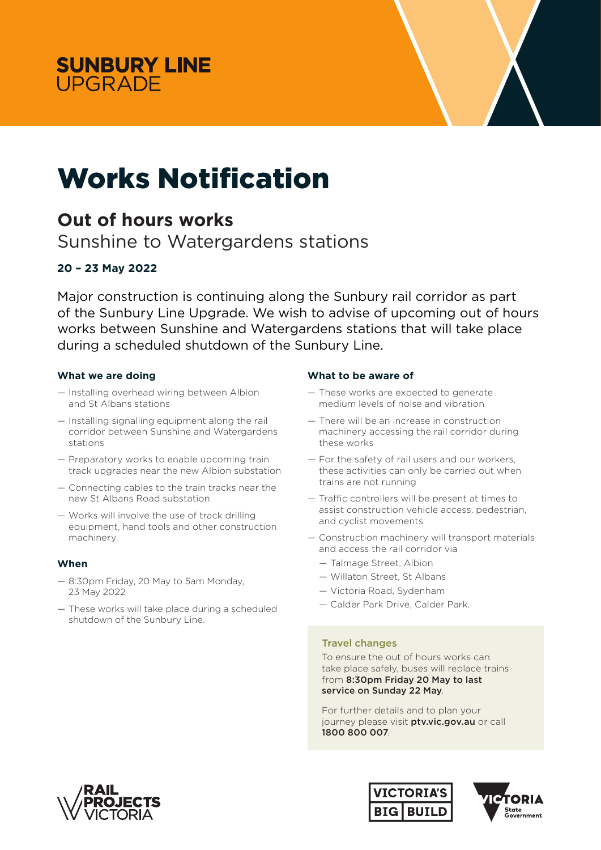



# Works Notification

## **Out of hours works**

Sunshine to Watergardens stations

### **20 – 23 May 2022**

Major construction is continuing along the Sunbury rail corridor as part of the Sunbury Line Upgrade. We wish to advise of upcoming out of hours works between Sunshine and Watergardens stations that will take place during a scheduled shutdown of the Sunbury Line.

#### **What we are doing**

- Installing overhead wiring between Albion and St Albans stations
- Installing signalling equipment along the rail corridor between Sunshine and Watergardens stations
- Preparatory works to enable upcoming train track upgrades near the new Albion substation
- Connecting cables to the train tracks near the new St Albans Road substation
- Works will involve the use of track drilling equipment, hand tools and other construction machinery.

#### **When**

- 8:30pm Friday, 20 May to 5am Monday, 23 May 2022
- These works will take place during a scheduled shutdown of the Sunbury Line.

#### **What to be aware of**

- *—* These works are expected to generate medium levels of noise and vibration
- *—* There will be an increase in construction machinery accessing the rail corridor during these works
- *—* For the safety of rail users and our workers, these activities can only be carried out when trains are not running
- *—* Traffic controllers will be present at times to assist construction vehicle access, pedestrian, and cyclist movements
- *—* Construction machinery will transport materials and access the rail corridor via
	- *—* Talmage Street, Albion
	- *—* Willaton Street, St Albans
	- *—* Victoria Road, Sydenham
	- *—* Calder Park Drive, Calder Park.

#### Travel changes

To ensure the out of hours works can take place safely, buses will replace trains from 8:30pm Friday 20 May to last service on Sunday 22 May.

For further details and to plan your journey please visit ptv.vic.gov.au or call 1800 800 007.